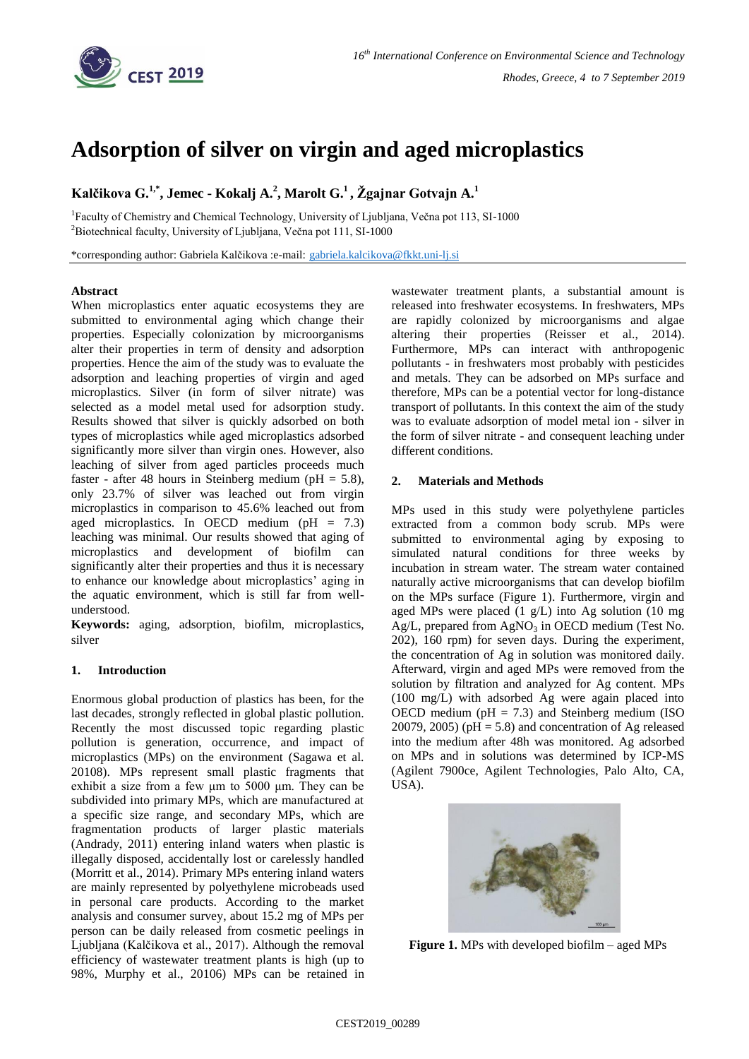

# **Adsorption of silver on virgin and aged microplastics**

**Kalčikova G. 1,\* , Jemec - Kokalj A. 2 , Marolt G. 1 , Žgajnar Gotvajn A. 1**

<sup>1</sup>Faculty of Chemistry and Chemical Technology, University of Ljubljana, Večna pot 113, SI-1000 <sup>2</sup>Biotechnical faculty, University of Ljubljana, Večna pot 111, SI-1000

\*corresponding author: Gabriela Kalčikova :e-mail: [gabriela.kalcikova@fkkt.uni-lj.si](mailto:gabriela.kalcikova@fkkt.uni-lj.si)

## **Abstract**

When microplastics enter aquatic ecosystems they are submitted to environmental aging which change their properties. Especially colonization by microorganisms alter their properties in term of density and adsorption properties. Hence the aim of the study was to evaluate the adsorption and leaching properties of virgin and aged microplastics. Silver (in form of silver nitrate) was selected as a model metal used for adsorption study. Results showed that silver is quickly adsorbed on both types of microplastics while aged microplastics adsorbed significantly more silver than virgin ones. However, also leaching of silver from aged particles proceeds much faster - after 48 hours in Steinberg medium ( $pH = 5.8$ ), only 23.7% of silver was leached out from virgin microplastics in comparison to 45.6% leached out from aged microplastics. In OECD medium ( $pH = 7.3$ ) leaching was minimal. Our results showed that aging of microplastics and development of biofilm can significantly alter their properties and thus it is necessary to enhance our knowledge about microplastics' aging in the aquatic environment, which is still far from wellunderstood.

**Keywords:** aging, adsorption, biofilm, microplastics, silver

# **1. Introduction**

Enormous global production of plastics has been, for the last decades, strongly reflected in global plastic pollution. Recently the most discussed topic regarding plastic pollution is generation, occurrence, and impact of microplastics (MPs) on the environment (Sagawa et al. 20108). MPs represent small plastic fragments that exhibit a size from a few μm to 5000 μm. They can be subdivided into primary MPs, which are manufactured at a specific size range, and secondary MPs, which are fragmentation products of larger plastic materials (Andrady, 2011) entering inland waters when plastic is illegally disposed, accidentally lost or carelessly handled (Morritt et al., 2014). Primary MPs entering inland waters are mainly represented by polyethylene microbeads used in personal care products. According to the market analysis and consumer survey, about 15.2 mg of MPs per person can be daily released from cosmetic peelings in Ljubljana (Kalčikova et al., 2017). Although the removal efficiency of wastewater treatment plants is high (up to 98%, Murphy et al., 20106) MPs can be retained in wastewater treatment plants, a substantial amount is released into freshwater ecosystems. In freshwaters, MPs are rapidly colonized by microorganisms and algae altering their properties (Reisser et al., 2014). Furthermore, MPs can interact with anthropogenic pollutants - in freshwaters most probably with pesticides and metals. They can be adsorbed on MPs surface and therefore, MPs can be a potential vector for long-distance transport of pollutants. In this context the aim of the study was to evaluate adsorption of model metal ion - silver in the form of silver nitrate - and consequent leaching under different conditions.

# **2. Materials and Methods**

MPs used in this study were polyethylene particles extracted from a common body scrub. MPs were submitted to environmental aging by exposing to simulated natural conditions for three weeks by incubation in stream water. The stream water contained naturally active microorganisms that can develop biofilm on the MPs surface (Figure 1). Furthermore, virgin and aged MPs were placed (1 g/L) into Ag solution (10 mg Ag/L, prepared from  $AgNO<sub>3</sub>$  in OECD medium (Test No. 202), 160 rpm) for seven days. During the experiment, the concentration of Ag in solution was monitored daily. Afterward, virgin and aged MPs were removed from the solution by filtration and analyzed for Ag content. MPs (100 mg/L) with adsorbed Ag were again placed into OECD medium ( $pH = 7.3$ ) and Steinberg medium (ISO 20079, 2005) ( $pH = 5.8$ ) and concentration of Ag released into the medium after 48h was monitored. Ag adsorbed on MPs and in solutions was determined by ICP-MS (Agilent 7900ce, Agilent Technologies, Palo Alto, CA, USA).



**Figure 1.** MPs with developed biofilm – aged MPs